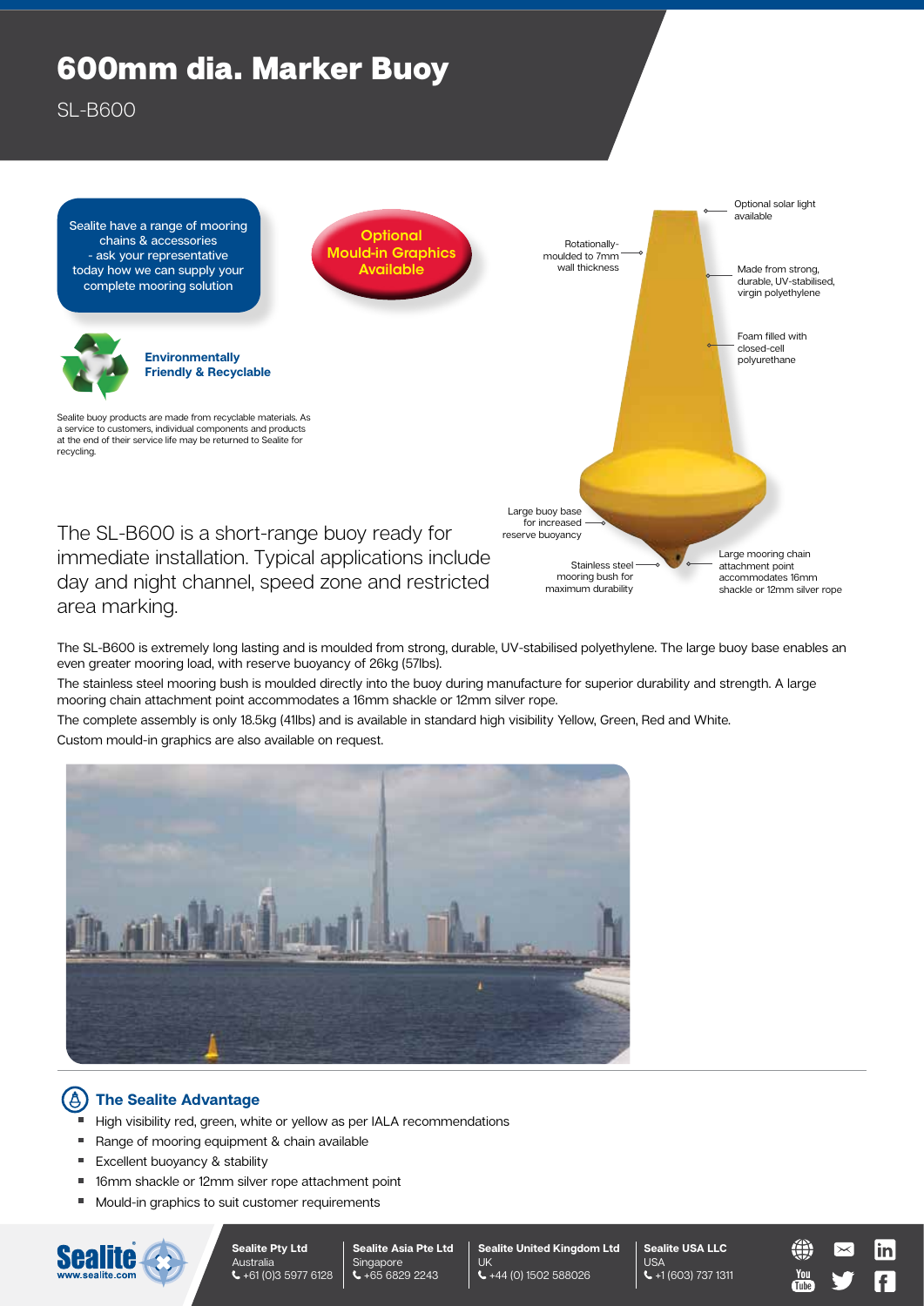## 600mm dia. Marker Buoy

SL-B600



The SL-B600 is extremely long lasting and is moulded from strong, durable, UV-stabilised polyethylene. The large buoy base enables an even greater mooring load, with reserve buoyancy of 26kg (57lbs).

The stainless steel mooring bush is moulded directly into the buoy during manufacture for superior durability and strength. A large mooring chain attachment point accommodates a 16mm shackle or 12mm silver rope.

The complete assembly is only 18.5kg (41lbs) and is available in standard high visibility Yellow, Green, Red and White. Custom mould-in graphics are also available on request.



## $(A)$ **The Sealite Advantage**

- H High visibility red, green, white or yellow as per IALA recommendations
- Range of mooring equipment & chain available
- Excellent buoyancy & stability  $\blacksquare$
- 16mm shackle or 12mm silver rope attachment point
- Mould-in graphics to suit customer requirements



**Sealite Asia Pte Ltd** Singapore  $\leftarrow +6568292243$ 

**Sealite United Kingdom Ltd** UK  $\leftarrow$  +44 (0) 1502 588026

**Sealite USA LLC** USA +1 (603) 737 1311

You<br>Title